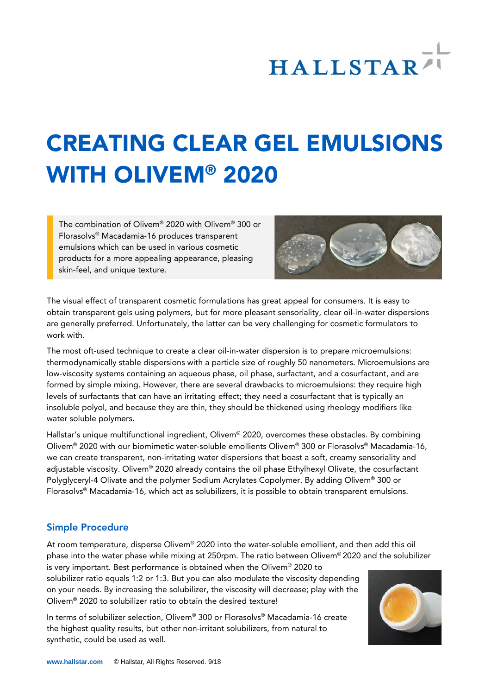# **HALLSTAR**

## CREATING CLEAR GEL EMULSIONS WITH OLIVEM® 2020

The combination of Olivem® 2020 with Olivem® 300 or Florasolvs® Macadamia-16 produces transparent emulsions which can be used in various cosmetic products for a more appealing appearance, pleasing skin-feel, and unique texture.



The visual effect of transparent cosmetic formulations has great appeal for consumers. It is easy to obtain transparent gels using polymers, but for more pleasant sensoriality, clear oil-in-water dispersions are generally preferred. Unfortunately, the latter can be very challenging for cosmetic formulators to work with.

The most oft-used technique to create a clear oil-in-water dispersion is to prepare microemulsions: thermodynamically stable dispersions with a particle size of roughly 50 nanometers. Microemulsions are low-viscosity systems containing an aqueous phase, oil phase, surfactant, and a cosurfactant, and are formed by simple mixing. However, there are several drawbacks to microemulsions: they require high levels of surfactants that can have an irritating effect; they need a cosurfactant that is typically an insoluble polyol, and because they are thin, they should be thickened using rheology modifiers like water soluble polymers.

Hallstar's unique multifunctional ingredient, Olivem® 2020, overcomes these obstacles. By combining Olivem® 2020 with our biomimetic water-soluble emollients Olivem® 300 or Florasolvs® Macadamia-16, we can create transparent, non-irritating water dispersions that boast a soft, creamy sensoriality and adjustable viscosity. Olivem® 2020 already contains the oil phase Ethylhexyl Olivate, the cosurfactant Polyglyceryl-4 Olivate and the polymer Sodium Acrylates Copolymer. By adding Olivem® 300 or Florasolvs® Macadamia-16, which act as solubilizers, it is possible to obtain transparent emulsions.

#### Simple Procedure

At room temperature, disperse Olivem® 2020 into the water-soluble emollient, and then add this oil phase into the water phase while mixing at 250rpm. The ratio between Olivem® 2020 and the solubilizer

is very important. Best performance is obtained when the Olivem® 2020 to solubilizer ratio equals 1:2 or 1:3. But you can also modulate the viscosity depending on your needs. By increasing the solubilizer, the viscosity will decrease; play with the Olivem® 2020 to solubilizer ratio to obtain the desired texture!

In terms of solubilizer selection, Olivem® 300 or Florasolvs® Macadamia-16 create the highest quality results, but other non-irritant solubilizers, from natural to synthetic, could be used as well.